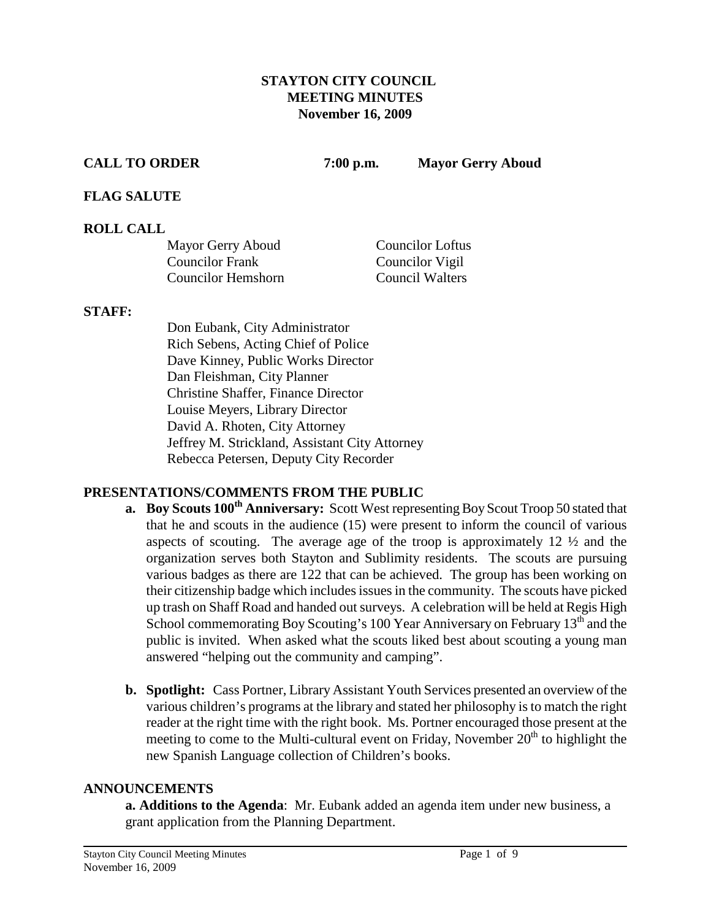#### **STAYTON CITY COUNCIL MEETING MINUTES November 16, 2009**

**CALL TO ORDER 7:00 p.m. Mayor Gerry Aboud**

#### **FLAG SALUTE**

#### **ROLL CALL**

| Mayor Gerry Aboud  | Councilor Loftus       |
|--------------------|------------------------|
| Councilor Frank    | Councilor Vigil        |
| Councilor Hemshorn | <b>Council Walters</b> |

#### **STAFF:**

Don Eubank, City Administrator Rich Sebens, Acting Chief of Police Dave Kinney, Public Works Director Dan Fleishman, City Planner Christine Shaffer, Finance Director Louise Meyers, Library Director David A. Rhoten, City Attorney Jeffrey M. Strickland, Assistant City Attorney Rebecca Petersen, Deputy City Recorder

## **PRESENTATIONS/COMMENTS FROM THE PUBLIC**

- **a.** Boy Scouts 100<sup>th</sup> Anniversary: Scott West representing Boy Scout Troop 50 stated that that he and scouts in the audience (15) were present to inform the council of various aspects of scouting. The average age of the troop is approximately 12 ½ and the organization serves both Stayton and Sublimity residents. The scouts are pursuing various badges as there are 122 that can be achieved. The group has been working on their citizenship badge which includes issues in the community. The scouts have picked up trash on Shaff Road and handed out surveys. A celebration will be held at Regis High School commemorating Boy Scouting's 100 Year Anniversary on February  $13<sup>th</sup>$  and the public is invited. When asked what the scouts liked best about scouting a young man answered "helping out the community and camping".
- **b. Spotlight:** Cass Portner, Library Assistant Youth Services presented an overview of the various children's programs at the library and stated her philosophy is to match the right reader at the right time with the right book. Ms. Portner encouraged those present at the meeting to come to the Multi-cultural event on Friday, November  $20<sup>th</sup>$  to highlight the new Spanish Language collection of Children's books.

#### **ANNOUNCEMENTS**

**a. Additions to the Agenda**: Mr. Eubank added an agenda item under new business, a grant application from the Planning Department.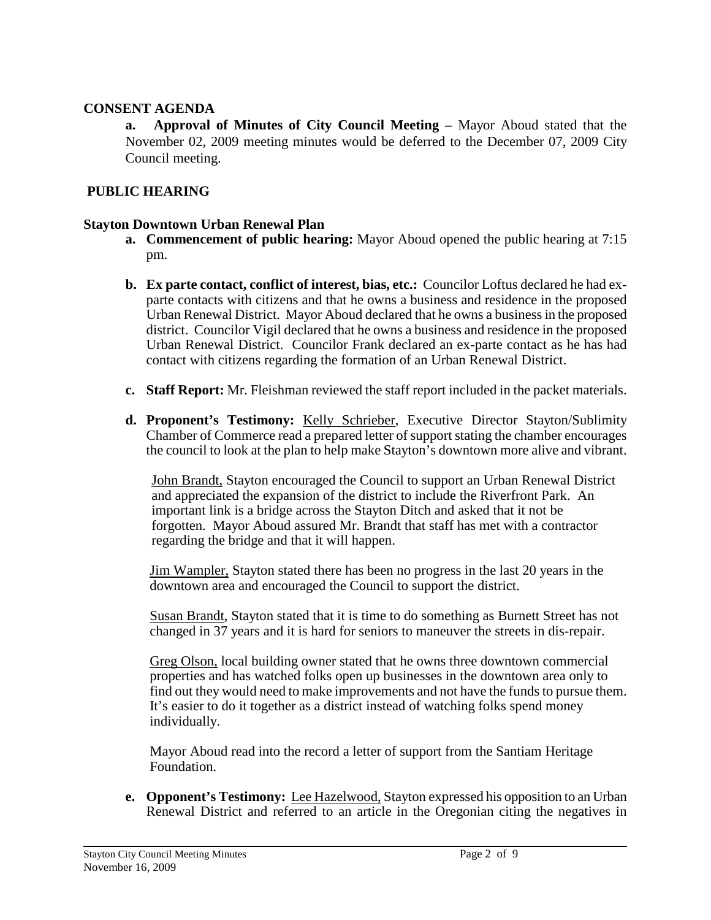#### **CONSENT AGENDA**

**a. Approval of Minutes of City Council Meeting –** Mayor Aboud stated that the November 02, 2009 meeting minutes would be deferred to the December 07, 2009 City Council meeting.

## **PUBLIC HEARING**

#### **Stayton Downtown Urban Renewal Plan**

- **a. Commencement of public hearing:** Mayor Aboud opened the public hearing at 7:15 pm.
- **b. Ex parte contact, conflict of interest, bias, etc.:** Councilor Loftus declared he had exparte contacts with citizens and that he owns a business and residence in the proposed Urban Renewal District.Mayor Aboud declared that he owns a business in the proposed district. Councilor Vigil declared that he owns a business and residence in the proposed Urban Renewal District. Councilor Frank declared an ex-parte contact as he has had contact with citizens regarding the formation of an Urban Renewal District.
- **c. Staff Report:** Mr. Fleishman reviewed the staff report included in the packet materials.
- **d. Proponent's Testimony:** Kelly Schrieber, Executive Director Stayton/Sublimity Chamber of Commerce read a prepared letter of support stating the chamber encourages the council to look at the plan to help make Stayton's downtown more alive and vibrant.

John Brandt, Stayton encouraged the Council to support an Urban Renewal District and appreciated the expansion of the district to include the Riverfront Park. An important link is a bridge across the Stayton Ditch and asked that it not be forgotten. Mayor Aboud assured Mr. Brandt that staff has met with a contractor regarding the bridge and that it will happen.

 Jim Wampler, Stayton stated there has been no progress in the last 20 years in the downtown area and encouraged the Council to support the district.

Susan Brandt, Stayton stated that it is time to do something as Burnett Street has not changed in 37 years and it is hard for seniors to maneuver the streets in dis-repair.

 Greg Olson, local building owner stated that he owns three downtown commercial properties and has watched folks open up businesses in the downtown area only to find out they would need to make improvements and not have the funds to pursue them. It's easier to do it together as a district instead of watching folks spend money individually.

 Mayor Aboud read into the record a letter of support from the Santiam Heritage Foundation.

**e. Opponent's Testimony:** Lee Hazelwood, Stayton expressed his opposition to an Urban Renewal District and referred to an article in the Oregonian citing the negatives in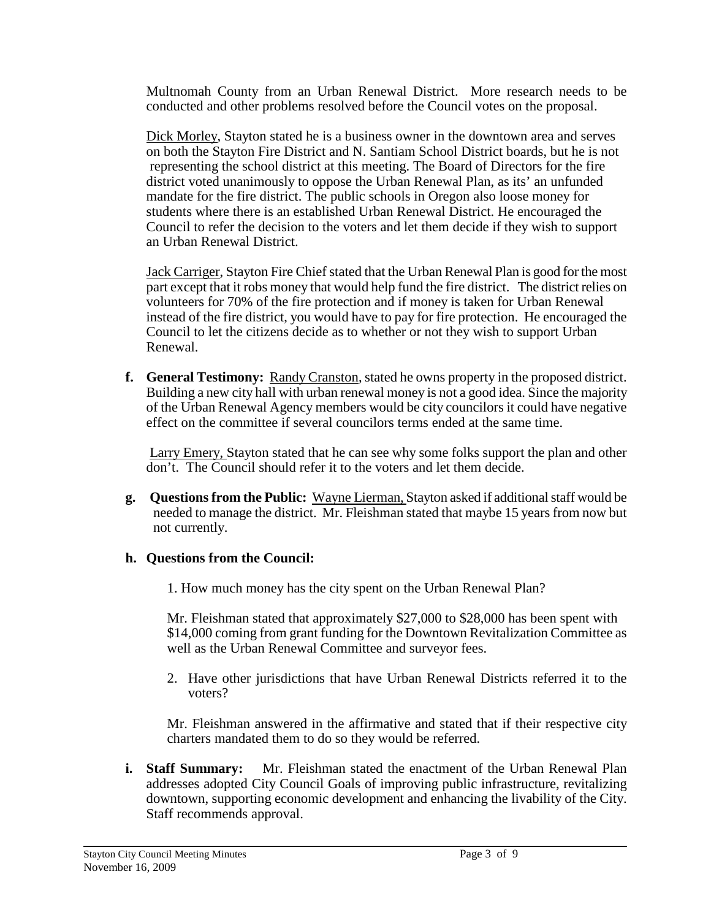Multnomah County from an Urban Renewal District. More research needs to be conducted and other problems resolved before the Council votes on the proposal.

Dick Morley, Stayton stated he is a business owner in the downtown area and serves on both the Stayton Fire District and N. Santiam School District boards, but he is not representing the school district at this meeting. The Board of Directors for the fire district voted unanimously to oppose the Urban Renewal Plan, as its' an unfunded mandate for the fire district. The public schools in Oregon also loose money for students where there is an established Urban Renewal District. He encouraged the Council to refer the decision to the voters and let them decide if they wish to support an Urban Renewal District.

Jack Carriger, Stayton Fire Chief stated that the Urban Renewal Plan is good for the most part except that it robs money that would help fund the fire district. The district relies on volunteers for 70% of the fire protection and if money is taken for Urban Renewal instead of the fire district, you would have to pay for fire protection. He encouraged the Council to let the citizens decide as to whether or not they wish to support Urban Renewal.

**f. General Testimony:** Randy Cranston, stated he owns property in the proposed district. Building a new city hall with urban renewal money is not a good idea. Since the majority of the Urban Renewal Agency members would be city councilors it could have negative effect on the committee if several councilors terms ended at the same time.

Larry Emery, Stayton stated that he can see why some folks support the plan and other don't. The Council should refer it to the voters and let them decide.

**g. Questions from the Public:** Wayne Lierman, Stayton asked if additional staff would be needed to manage the district. Mr. Fleishman stated that maybe 15 years from now but not currently.

#### **h. Questions from the Council:**

1. How much money has the city spent on the Urban Renewal Plan?

Mr. Fleishman stated that approximately \$27,000 to \$28,000 has been spent with \$14,000 coming from grant funding for the Downtown Revitalization Committee as well as the Urban Renewal Committee and surveyor fees.

2. Have other jurisdictions that have Urban Renewal Districts referred it to the voters?

Mr. Fleishman answered in the affirmative and stated that if their respective city charters mandated them to do so they would be referred.

**i. Staff Summary:** Mr. Fleishman stated the enactment of the Urban Renewal Plan addresses adopted City Council Goals of improving public infrastructure, revitalizing downtown, supporting economic development and enhancing the livability of the City. Staff recommends approval.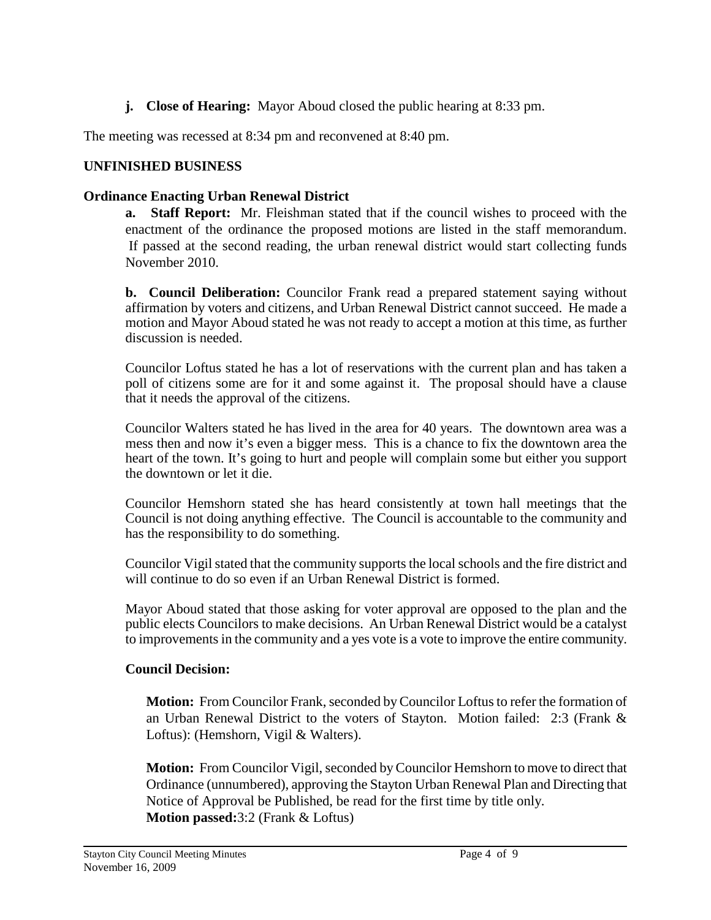**j. Close of Hearing:** Mayor Aboud closed the public hearing at 8:33 pm.

The meeting was recessed at 8:34 pm and reconvened at 8:40 pm.

## **UNFINISHED BUSINESS**

## **Ordinance Enacting Urban Renewal District**

**a. Staff Report:** Mr. Fleishman stated that if the council wishes to proceed with the enactment of the ordinance the proposed motions are listed in the staff memorandum. If passed at the second reading, the urban renewal district would start collecting funds November 2010.

**b. Council Deliberation:** Councilor Frank read a prepared statement saying without affirmation by voters and citizens, and Urban Renewal District cannot succeed. He made a motion and Mayor Aboud stated he was not ready to accept a motion at this time, as further discussion is needed.

Councilor Loftus stated he has a lot of reservations with the current plan and has taken a poll of citizens some are for it and some against it. The proposal should have a clause that it needs the approval of the citizens.

Councilor Walters stated he has lived in the area for 40 years. The downtown area was a mess then and now it's even a bigger mess. This is a chance to fix the downtown area the heart of the town. It's going to hurt and people will complain some but either you support the downtown or let it die.

Councilor Hemshorn stated she has heard consistently at town hall meetings that the Council is not doing anything effective. The Council is accountable to the community and has the responsibility to do something.

Councilor Vigil stated that the community supports the local schools and the fire district and will continue to do so even if an Urban Renewal District is formed.

Mayor Aboud stated that those asking for voter approval are opposed to the plan and the public elects Councilors to make decisions. An Urban Renewal District would be a catalyst to improvements in the community and a yes vote is a vote to improve the entire community.

## **Council Decision:**

**Motion:** From Councilor Frank, seconded by Councilor Loftus to refer the formation of an Urban Renewal District to the voters of Stayton. Motion failed: 2:3 (Frank & Loftus): (Hemshorn, Vigil & Walters).

**Motion:** From Councilor Vigil, seconded by Councilor Hemshorn to move to direct that Ordinance (unnumbered), approving the Stayton Urban Renewal Plan and Directing that Notice of Approval be Published, be read for the first time by title only. **Motion passed:**3:2 (Frank & Loftus)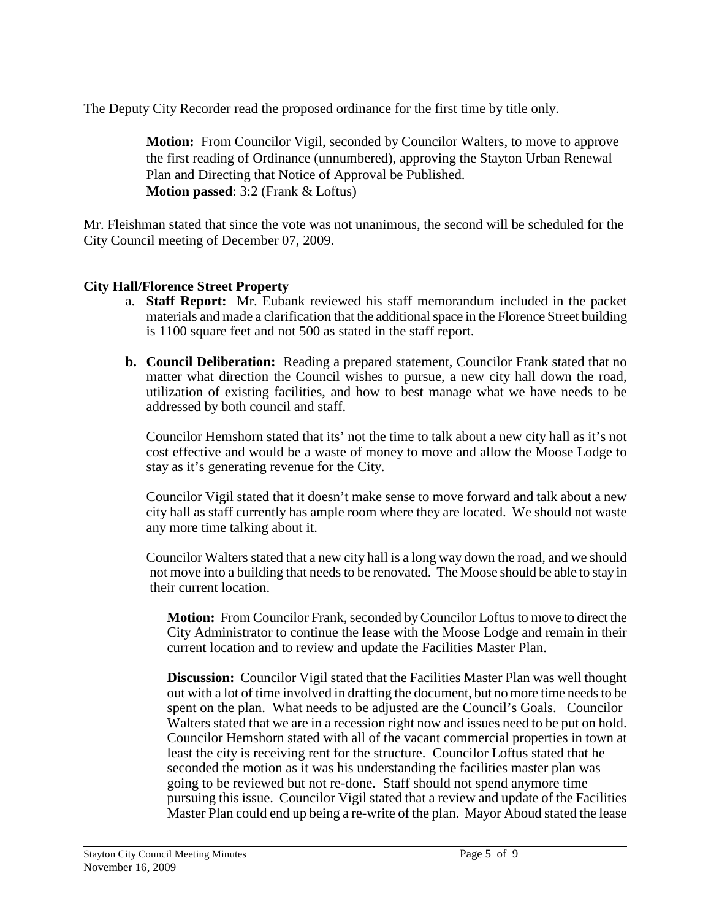The Deputy City Recorder read the proposed ordinance for the first time by title only.

**Motion:** From Councilor Vigil, seconded by Councilor Walters, to move to approve the first reading of Ordinance (unnumbered), approving the Stayton Urban Renewal Plan and Directing that Notice of Approval be Published. **Motion passed**: 3:2 (Frank & Loftus)

Mr. Fleishman stated that since the vote was not unanimous, the second will be scheduled for the City Council meeting of December 07, 2009.

## **City Hall/Florence Street Property**

- a. **Staff Report:** Mr. Eubank reviewed his staff memorandum included in the packet materials and made a clarification that the additional space in the Florence Street building is 1100 square feet and not 500 as stated in the staff report.
- **b. Council Deliberation:** Reading a prepared statement, Councilor Frank stated that no matter what direction the Council wishes to pursue, a new city hall down the road, utilization of existing facilities, and how to best manage what we have needs to be addressed by both council and staff.

 Councilor Hemshorn stated that its' not the time to talk about a new city hall as it's not cost effective and would be a waste of money to move and allow the Moose Lodge to stay as it's generating revenue for the City.

Councilor Vigil stated that it doesn't make sense to move forward and talk about a new city hall as staff currently has ample room where they are located. We should not waste any more time talking about it.

 Councilor Walters stated that a new city hall is a long way down the road, and we should not move into a building that needs to be renovated. The Moose should be able to stay in their current location.

**Motion:** From Councilor Frank, seconded by Councilor Loftus to move to direct the City Administrator to continue the lease with the Moose Lodge and remain in their current location and to review and update the Facilities Master Plan.

**Discussion:** Councilor Vigil stated that the Facilities Master Plan was well thought out with a lot of time involved in drafting the document, but no more time needs to be spent on the plan. What needs to be adjusted are the Council's Goals. Councilor Walters stated that we are in a recession right now and issues need to be put on hold. Councilor Hemshorn stated with all of the vacant commercial properties in town at least the city is receiving rent for the structure. Councilor Loftus stated that he seconded the motion as it was his understanding the facilities master plan was going to be reviewed but not re-done. Staff should not spend anymore time pursuing this issue. Councilor Vigil stated that a review and update of the Facilities Master Plan could end up being a re-write of the plan. Mayor Aboud stated the lease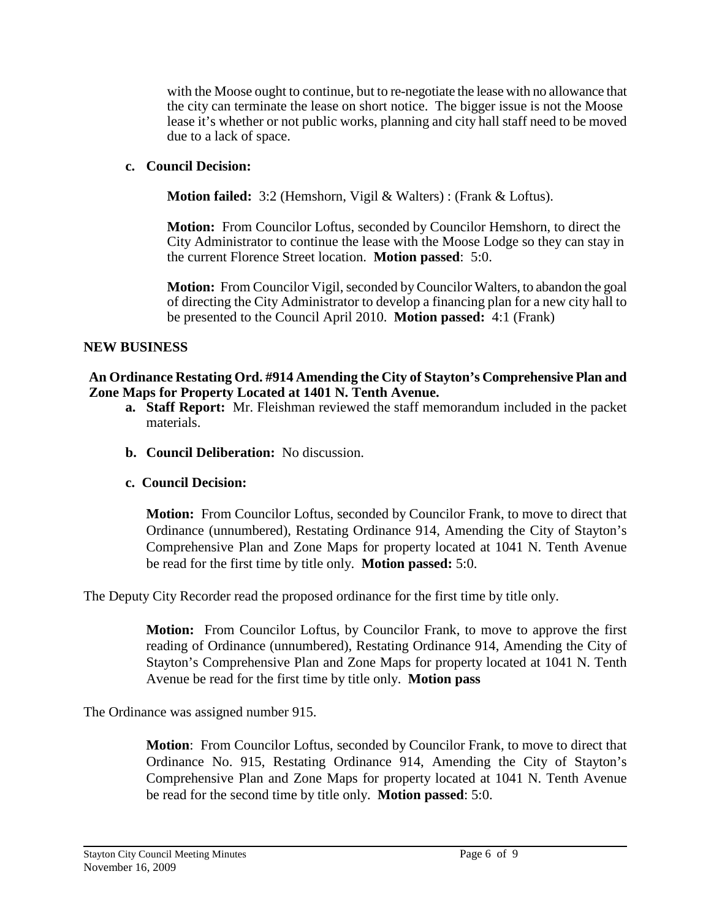with the Moose ought to continue, but to re-negotiate the lease with no allowance that the city can terminate the lease on short notice. The bigger issue is not the Moose lease it's whether or not public works, planning and city hall staff need to be moved due to a lack of space.

#### **c. Council Decision:**

**Motion failed:** 3:2 (Hemshorn, Vigil & Walters) : (Frank & Loftus).

**Motion:** From Councilor Loftus, seconded by Councilor Hemshorn, to direct the City Administrator to continue the lease with the Moose Lodge so they can stay in the current Florence Street location. **Motion passed**: 5:0.

**Motion:** From Councilor Vigil, seconded by Councilor Walters, to abandon the goal of directing the City Administrator to develop a financing plan for a new city hall to be presented to the Council April 2010. **Motion passed:** 4:1 (Frank)

#### **NEW BUSINESS**

#### **An Ordinance Restating Ord. #914 Amending the City of Stayton's Comprehensive Plan and Zone Maps for Property Located at 1401 N. Tenth Avenue.**

- **a. Staff Report:** Mr. Fleishman reviewed the staff memorandum included in the packet materials.
- **b. Council Deliberation:** No discussion.

## **c. Council Decision:**

**Motion:** From Councilor Loftus, seconded by Councilor Frank, to move to direct that Ordinance (unnumbered), Restating Ordinance 914, Amending the City of Stayton's Comprehensive Plan and Zone Maps for property located at 1041 N. Tenth Avenue be read for the first time by title only. **Motion passed:** 5:0.

The Deputy City Recorder read the proposed ordinance for the first time by title only.

**Motion:** From Councilor Loftus, by Councilor Frank, to move to approve the first reading of Ordinance (unnumbered), Restating Ordinance 914, Amending the City of Stayton's Comprehensive Plan and Zone Maps for property located at 1041 N. Tenth Avenue be read for the first time by title only. **Motion pass**

The Ordinance was assigned number 915.

**Motion**: From Councilor Loftus, seconded by Councilor Frank, to move to direct that Ordinance No. 915, Restating Ordinance 914, Amending the City of Stayton's Comprehensive Plan and Zone Maps for property located at 1041 N. Tenth Avenue be read for the second time by title only. **Motion passed**: 5:0.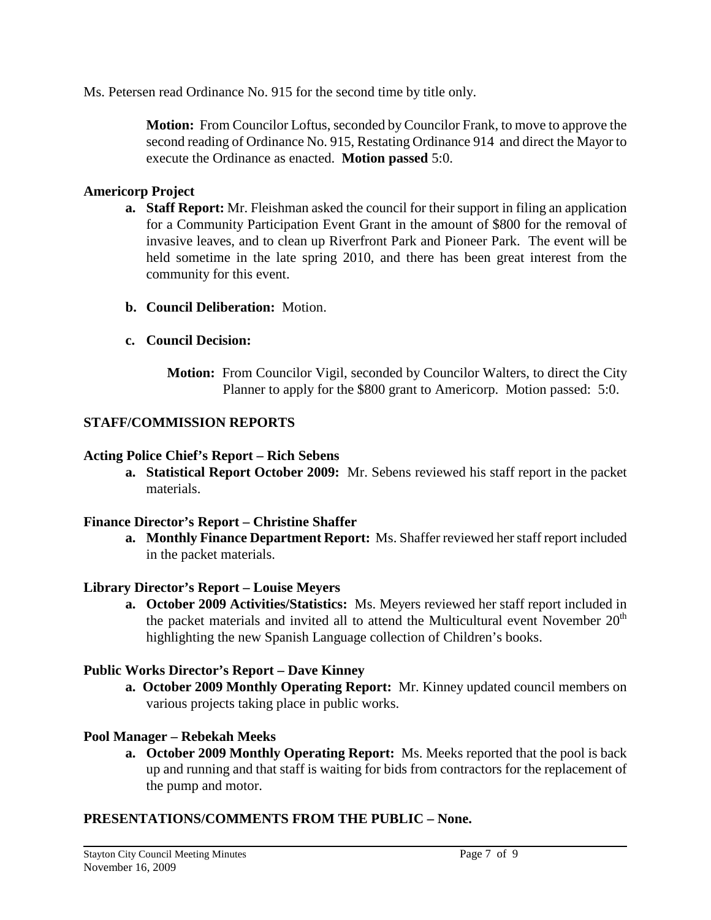Ms. Petersen read Ordinance No. 915 for the second time by title only.

**Motion:** From Councilor Loftus, seconded by Councilor Frank, to move to approve the second reading of Ordinance No. 915, Restating Ordinance 914 and direct the Mayor to execute the Ordinance as enacted. **Motion passed** 5:0.

## **Americorp Project**

- **a. Staff Report:** Mr. Fleishman asked the council for their support in filing an application for a Community Participation Event Grant in the amount of \$800 for the removal of invasive leaves, and to clean up Riverfront Park and Pioneer Park. The event will be held sometime in the late spring 2010, and there has been great interest from the community for this event.
- **b. Council Deliberation:** Motion.
- **c. Council Decision:**
	- **Motion:** From Councilor Vigil, seconded by Councilor Walters, to direct the City Planner to apply for the \$800 grant to Americorp. Motion passed: 5:0.

# **STAFF/COMMISSION REPORTS**

## **Acting Police Chief's Report – Rich Sebens**

**a. Statistical Report October 2009:** Mr. Sebens reviewed his staff report in the packet materials.

## **Finance Director's Report – Christine Shaffer**

**a. Monthly Finance Department Report:** Ms. Shaffer reviewed her staff report included in the packet materials.

# **Library Director's Report – Louise Meyers**

**a. October 2009 Activities/Statistics:** Ms. Meyers reviewed her staff report included in the packet materials and invited all to attend the Multicultural event November  $20<sup>th</sup>$ highlighting the new Spanish Language collection of Children's books.

# **Public Works Director's Report – Dave Kinney**

**a. October 2009 Monthly Operating Report:** Mr. Kinney updated council members on various projects taking place in public works.

# **Pool Manager – Rebekah Meeks**

**a. October 2009 Monthly Operating Report:** Ms. Meeks reported that the pool is back up and running and that staff is waiting for bids from contractors for the replacement of the pump and motor.

# **PRESENTATIONS/COMMENTS FROM THE PUBLIC – None.**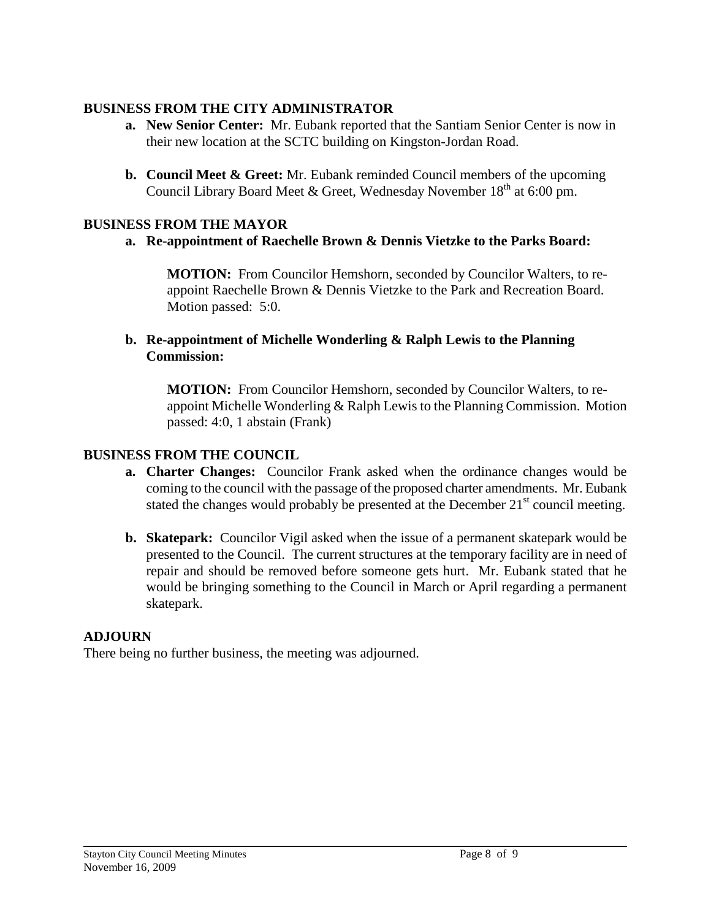## **BUSINESS FROM THE CITY ADMINISTRATOR**

- **a. New Senior Center:** Mr. Eubank reported that the Santiam Senior Center is now in their new location at the SCTC building on Kingston-Jordan Road.
- **b. Council Meet & Greet:** Mr. Eubank reminded Council members of the upcoming Council Library Board Meet & Greet, Wednesday November 18<sup>th</sup> at 6:00 pm.

# **BUSINESS FROM THE MAYOR**

# **a. Re-appointment of Raechelle Brown & Dennis Vietzke to the Parks Board:**

**MOTION:** From Councilor Hemshorn, seconded by Councilor Walters, to reappoint Raechelle Brown & Dennis Vietzke to the Park and Recreation Board. Motion passed: 5:0.

### **b. Re-appointment of Michelle Wonderling & Ralph Lewis to the Planning Commission:**

**MOTION:** From Councilor Hemshorn, seconded by Councilor Walters, to reappoint Michelle Wonderling & Ralph Lewis to the Planning Commission. Motion passed: 4:0, 1 abstain (Frank)

# **BUSINESS FROM THE COUNCIL**

- **a. Charter Changes:** Councilor Frank asked when the ordinance changes would be coming to the council with the passage of the proposed charter amendments. Mr. Eubank stated the changes would probably be presented at the December  $21<sup>st</sup>$  council meeting.
- **b. Skatepark:** Councilor Vigil asked when the issue of a permanent skatepark would be presented to the Council. The current structures at the temporary facility are in need of repair and should be removed before someone gets hurt. Mr. Eubank stated that he would be bringing something to the Council in March or April regarding a permanent skatepark.

# **ADJOURN**

There being no further business, the meeting was adjourned.